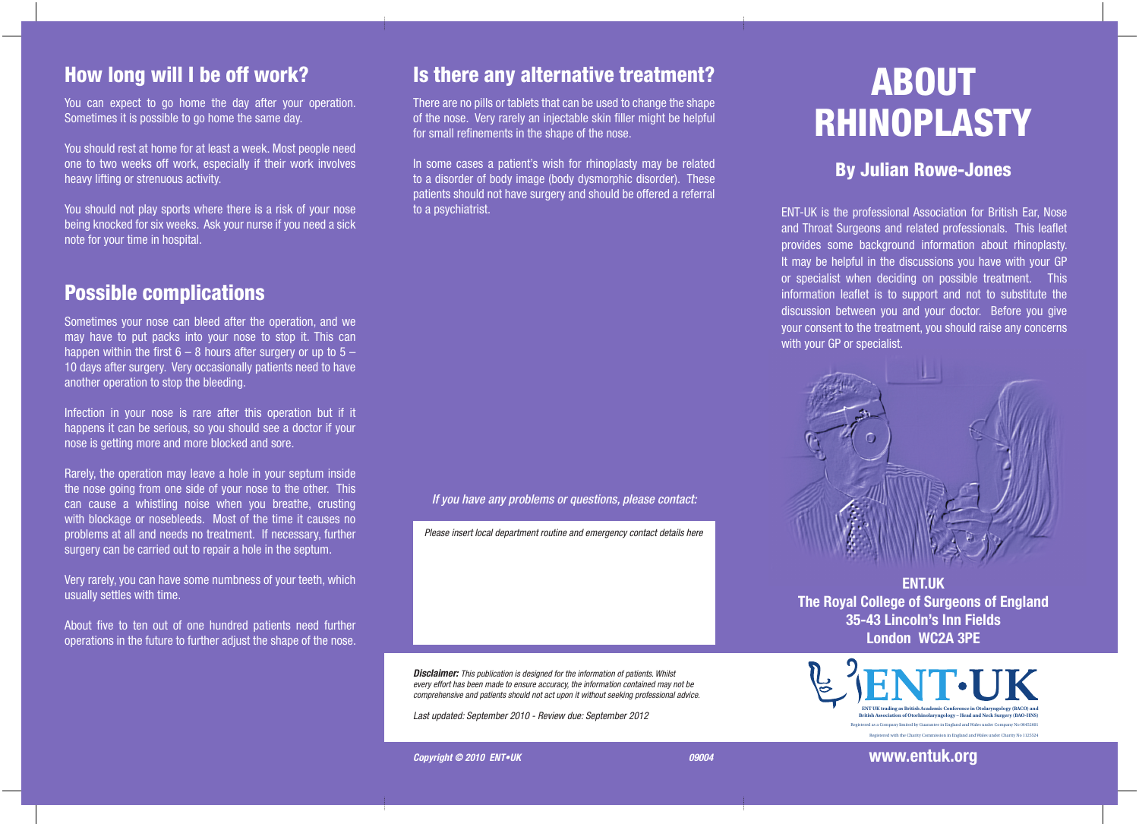#### How long will I be off work?

You can expect to go home the day after your operation. Sometimes it is possible to go home the same day.

You should rest at home for at least a week. Most people need one to two weeks off work, especially if their work involves heavy lifting or strenuous activity.

You should not play sports where there is a risk of your nose being knocked for six weeks. Ask your nurse if you need a sick note for your time in hospital.

#### Possible complications

Sometimes your nose can bleed after the operation, and we may have to put packs into your nose to stop it. This can happen within the first  $6 - 8$  hours after surgery or up to  $5 -$ 10 days after surgery. Very occasionally patients need to have another operation to stop the bleeding.

Infection in your nose is rare after this operation but if it happens it can be serious, so you should see a doctor if your nose is getting more and more blocked and sore.

Rarely, the operation may leave a hole in your septum inside the nose going from one side of your nose to the other. This can cause a whistling noise when you breathe, crusting with blockage or nosebleeds. Most of the time it causes no problems at all and needs no treatment. If necessary, further surgery can be carried out to repair a hole in the septum.

Very rarely, you can have some numbness of your teeth, which usually settles with time.

About five to ten out of one hundred patients need further operations in the future to further adjust the shape of the nose.

#### Is there any alternative treatment?

There are no pills or tablets that can be used to change the shape of the nose. Very rarely an injectable skin filler might be helpful for small refinements in the shape of the nose.

In some cases a patient's wish for rhinoplasty may be related to a disorder of body image (body dysmorphic disorder). These patients should not have surgery and should be offered a referral to a psychiatrist.

#### *If you have any problems or questions, please contact:*

*Please insert local department routine and emergency contact details here*

*Disclaimer: This publication is designed for the information of patients. Whilst every effort has been made to ensure accuracy, the information contained may not be comprehensive and patients should not act upon it without seeking professional advice.*

*Last updated: September 2010 - Review due: September 2012* 

# ABOUT RHINOPLASTY

#### By Julian Rowe-Jones

ENT-UK is the professional Association for British Ear, Nose and Throat Surgeons and related professionals. This leaflet provides some background information about rhinoplasty. It may be helpful in the discussions you have with your GP or specialist when deciding on possible treatment. This information leaflet is to support and not to substitute the discussion between you and your doctor. Before you give your consent to the treatment, you should raise any concerns with your GP or specialist.



**ENT.UK The Royal College of Surgeons of England 35-43 Lincoln's Inn Fields London WC2A 3PE**



**Copyright © 2010 ENT•UK** 09004

**www.entuk.org**